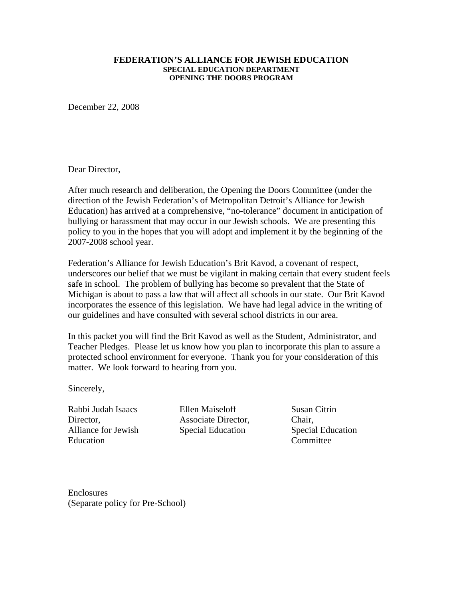#### **FEDERATION'S ALLIANCE FOR JEWISH EDUCATION SPECIAL EDUCATION DEPARTMENT OPENING THE DOORS PROGRAM**

December 22, 2008

Dear Director,

After much research and deliberation, the Opening the Doors Committee (under the direction of the Jewish Federation's of Metropolitan Detroit's Alliance for Jewish Education) has arrived at a comprehensive, "no-tolerance" document in anticipation of bullying or harassment that may occur in our Jewish schools. We are presenting this policy to you in the hopes that you will adopt and implement it by the beginning of the 2007-2008 school year.

Federation's Alliance for Jewish Education's Brit Kavod, a covenant of respect, underscores our belief that we must be vigilant in making certain that every student feels safe in school. The problem of bullying has become so prevalent that the State of Michigan is about to pass a law that will affect all schools in our state. Our Brit Kavod incorporates the essence of this legislation. We have had legal advice in the writing of our guidelines and have consulted with several school districts in our area.

In this packet you will find the Brit Kavod as well as the Student, Administrator, and Teacher Pledges. Please let us know how you plan to incorporate this plan to assure a protected school environment for everyone. Thank you for your consideration of this matter. We look forward to hearing from you.

Sincerely,

Rabbi Judah Isaacs Director. Alliance for Jewish Education

Ellen Maiseloff Associate Director, Special Education

Susan Citrin Chair, Special Education Committee

Enclosures (Separate policy for Pre-School)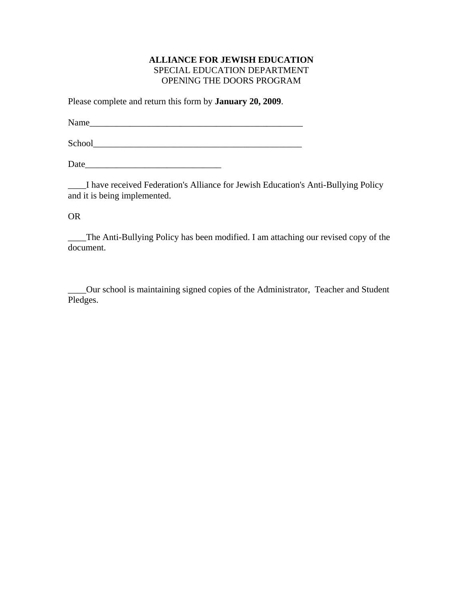### **ALLIANCE FOR JEWISH EDUCATION**  SPECIAL EDUCATION DEPARTMENT OPENlNG THE DOORS PROGRAM

Please complete and return this form by **January 20, 2009**.

Name\_\_\_\_\_\_\_\_\_\_\_\_\_\_\_\_\_\_\_\_\_\_\_\_\_\_\_\_\_\_\_\_\_\_\_\_\_\_\_\_\_\_\_\_\_\_\_

School\_\_\_\_\_\_\_\_\_\_\_\_\_\_\_\_\_\_\_\_\_\_\_\_\_\_\_\_\_\_\_\_\_\_\_\_\_\_\_\_\_\_\_\_\_\_

Date\_\_\_\_\_\_\_\_\_\_\_\_\_\_\_\_\_\_\_\_\_\_\_\_\_\_\_\_\_\_

\_\_\_\_I have received Federation's Alliance for Jewish Education's Anti-Bullying Policy and it is being implemented.

OR

\_\_\_\_The Anti-Bullying Policy has been modified. I am attaching our revised copy of the document.

\_\_\_\_Our school is maintaining signed copies of the Administrator, Teacher and Student Pledges.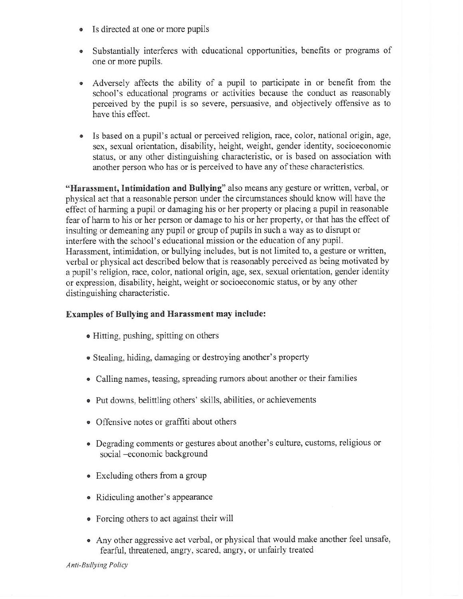- Is directed at one or more pupils
- Substantially interferes with educational opportunities, benefits or programs of one or more pupils.
- Adversely affects the ability of a pupil to participate in or benefit from the school's educational programs or activities because the conduct as reasonably perceived by the pupil is so severe, persuasive, and objectively offensive as to have this effect.
- Is based on a pupil's actual or perceived religion, race, color, national origin, age, sex, sexual orientation, disability, height, weight, gender identity, socioeconomic status, or any other distinguishing characteristic, or is based on association with another person who has or is perceived to have any of these characteristics.

"Harassment, Intimidation and Bullying" also means any gesture or written, verbal, or physical act that a reasonable person under the circumstances should know will have the effect of harming a pupil or damaging his or her property or placing a pupil in reasonable fear of harm to his or her person or damage to his or her property, or that has the effect of insulting or demeaning any pupil or group of pupils in such a way as to disrupt or interfere with the school's educational mission or the education of any pupil. Harassment, intimidation, or bullying includes, but is not limited to, a gesture or written, verbal or physical act described below that is reasonably perceived as being motivated by a pupil's religion, race, color, national origin, age, sex, sexual orientation, gender identity or expression, disability, height, weight or socioeconomic status, or by any other distinguishing characteristic.

### **Examples of Bullying and Harassment may include:**

- Hitting, pushing, spitting on others
- Stealing, hiding, damaging or destroying another's property
- Calling names, teasing, spreading rumors about another or their families
- Put downs, belittling others' skills, abilities, or achievements
- Offensive notes or graffiti about others
- Degrading comments or gestures about another's culture, customs, religious or social -economic background
- Excluding others from a group
- Ridiculing another's appearance
- Forcing others to act against their will
- Any other aggressive act verbal, or physical that would make another feel unsafe, fearful, threatened, angry, scared, angry, or unfairly treated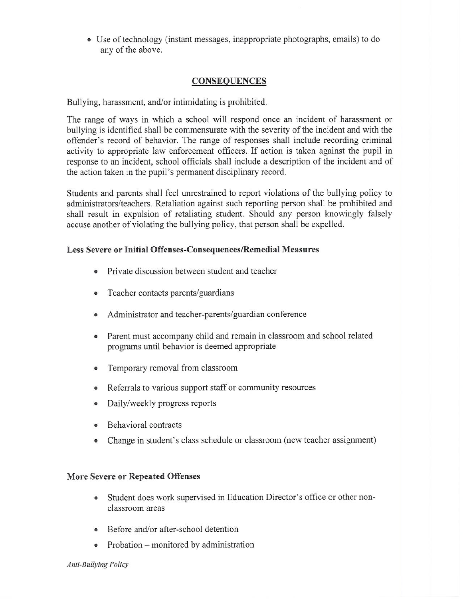• Use of technology (instant messages, inappropriate photographs, emails) to do any of the above.

## **CONSEQUENCES**

Bullying, harassment, and/or intimidating is prohibited.

The range of ways in which a school will respond once an incident of harassment or bullying is identified shall be commensurate with the severity of the incident and with the offender's record of behavior. The range of responses shall include recording criminal activity to appropriate law enforcement officers. If action is taken against the pupil in response to an incident, school officials shall include a description of the incident and of the action taken in the pupil's permanent disciplinary record.

Students and parents shall feel unrestrained to report violations of the bullying policy to administrators/teachers. Retaliation against such reporting person shall be prohibited and shall result in expulsion of retaliating student. Should any person knowingly falsely accuse another of violating the bullying policy, that person shall be expelled.

### Less Severe or Initial Offenses-Consequences/Remedial Measures

- Private discussion between student and teacher
- Teacher contacts parents/guardians
- Administrator and teacher-parents/guardian conference
- Parent must accompany child and remain in classroom and school related programs until behavior is deemed appropriate
- Temporary removal from classroom
- Referrals to various support staff or community resources
- Daily/weekly progress reports
- Behavioral contracts
- Change in student's class schedule or classroom (new teacher assignment)

### **More Severe or Repeated Offenses**

- Student does work supervised in Education Director's office or other nonclassroom areas
- Before and/or after-school detention
- Probation  $-$  monitored by administration

Anti-Bullying Policy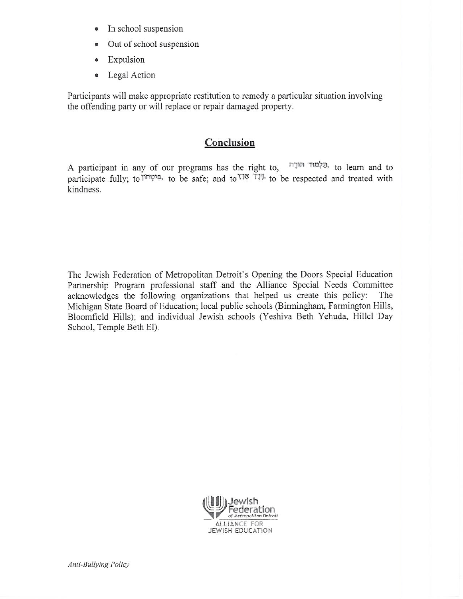- In school suspension  $\bullet$
- Out of school suspension  $\bullet$
- Expulsion  $\bullet$
- Legal Action  $\bullet$

Participants will make appropriate restitution to remedy a particular situation involving the offending party or will replace or repair damaged property.

# Conclusion

A participant in any of our programs has the right to, הַלְמוּד הּוֹרָה, to learn and to participate fully; to  $\pi$ <sup> $\pi$ </sup>, to be safe; and to  $\pi$ <sup>3</sup>. The to be respected and treated with kindness.

The Jewish Federation of Metropolitan Detroit's Opening the Doors Special Education Partnership Program professional staff and the Alliance Special Needs Committee acknowledges the following organizations that helped us create this policy: The Michigan State Board of Education; local public schools (Birmingham, Farmington Hills, Bloomfield Hills); and individual Jewish schools (Yeshiva Beth Yehuda, Hillel Day School, Temple Beth El).